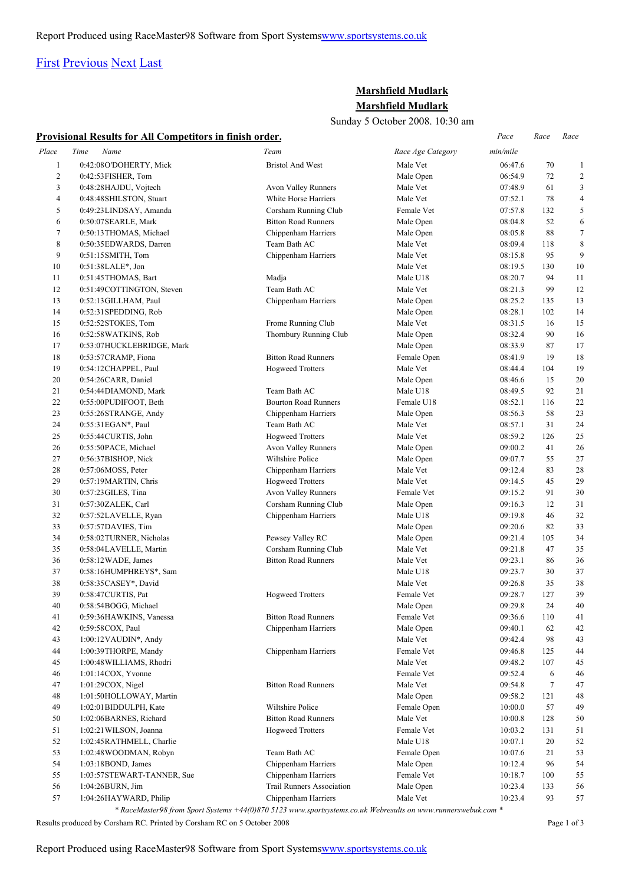## [First](http://www.corshamrunningclub.co.uk/Mudlark/Results/2008/Marshfield Mulark.html#) [Previous](http://www.corshamrunningclub.co.uk/Mudlark/Results/2008/Marshfield Mulark.html#) [Next](http://www.corshamrunningclub.co.uk/Mudlark/Results/2008/Marshfield MularkPage2.html) [Last](http://www.corshamrunningclub.co.uk/Mudlark/Results/2008/Marshfield MularkPage3.html)

## **Marshfield Mudlark Marshfield Mudlark**

Sunday 5 October 2008. 10:30 am

| Sunday 5 October 2008. 10:30 am |                                                                 |                                  |                         |                    |           |                |  |
|---------------------------------|-----------------------------------------------------------------|----------------------------------|-------------------------|--------------------|-----------|----------------|--|
|                                 | <b>Provisional Results for All Competitors in finish order.</b> |                                  |                         | Pace               | Race      | Race           |  |
| Place                           | Time<br>Name                                                    | Team                             | Race Age Category       | min/mile           |           |                |  |
| $\mathbf{1}$                    | 0:42:08O'DOHERTY, Mick                                          | <b>Bristol And West</b>          | Male Vet                | 06:47.6            | 70        | 1              |  |
| $\overline{c}$                  | 0:42:53FISHER, Tom                                              |                                  | Male Open               | 06:54.9            | 72        | $\overline{c}$ |  |
| 3                               | 0:48:28HAJDU, Vojtech                                           | Avon Valley Runners              | Male Vet                | 07:48.9            | 61        | 3              |  |
| 4                               | 0:48:48 SHILSTON, Stuart                                        | White Horse Harriers             | Male Vet                | 07:52.1            | 78        | $\overline{4}$ |  |
| 5                               | 0:49:23LINDSAY, Amanda                                          | Corsham Running Club             | Female Vet              | 07:57.8            | 132       | 5              |  |
| 6                               | 0:50:07SEARLE, Mark                                             | <b>Bitton Road Runners</b>       | Male Open               | 08:04.8            | 52        | 6              |  |
| 7                               | 0:50:13THOMAS, Michael                                          | Chippenham Harriers              | Male Open               | 08:05.8            | 88        | $\tau$         |  |
| $\,$ 8 $\,$                     | 0:50:35 EDWARDS, Darren                                         | Team Bath AC                     | Male Vet                | 08:09.4            | 118       | 8              |  |
| 9                               | 0:51:15SMITH, Tom                                               | Chippenham Harriers              | Male Vet                | 08:15.8            | 95        | 9              |  |
| 10                              | 0:51:38LALE*, Jon                                               |                                  | Male Vet                | 08:19.5            | 130       | 10             |  |
| 11                              | 0:51:45THOMAS, Bart                                             | Madja                            | Male U18                | 08:20.7            | 94        | 11             |  |
| 12                              | 0:51:49COTTINGTON, Steven                                       | Team Bath AC                     | Male Vet                | 08:21.3            | 99        | 12             |  |
| 13                              | 0:52:13 GILLHAM, Paul                                           | Chippenham Harriers              | Male Open               | 08:25.2            | 135       | 13             |  |
| 14                              | 0:52:31 SPEDDING, Rob                                           |                                  | Male Open               | 08:28.1            | 102       | 14             |  |
| 15                              | 0:52:52STOKES, Tom                                              | Frome Running Club               | Male Vet                | 08:31.5            | 16        | 15             |  |
| 16                              | 0:52:58 WATKINS, Rob                                            | Thornbury Running Club           | Male Open               | 08:32.4            | 90        | 16             |  |
| 17                              | 0:53:07HUCKLEBRIDGE, Mark                                       |                                  | Male Open               | 08:33.9            | 87        | 17             |  |
| 18                              | 0:53:57CRAMP, Fiona                                             | <b>Bitton Road Runners</b>       | Female Open             | 08:41.9            | 19        | 18             |  |
| 19                              | 0:54:12CHAPPEL, Paul                                            | <b>Hogweed Trotters</b>          | Male Vet                | 08:44.4            | 104       | 19             |  |
| 20                              | 0:54:26CARR, Daniel                                             |                                  | Male Open               | 08:46.6            | 15        | 20             |  |
| 21                              | 0:54:44DIAMOND, Mark                                            | Team Bath AC                     | Male U18                | 08:49.5            | 92        | 21             |  |
| 22                              | 0:55:00PUDIFOOT, Beth                                           | <b>Bourton Road Runners</b>      | Female U18              | 08:52.1            | 116       | 22             |  |
| 23                              | 0:55:26STRANGE, Andy                                            | Chippenham Harriers              | Male Open               | 08:56.3            | 58        | 23             |  |
| 24                              | 0:55:31 EGAN*, Paul                                             | Team Bath AC                     | Male Vet                | 08:57.1            | 31        | 24             |  |
| 25                              | 0:55:44CURTIS, John                                             | <b>Hogweed Trotters</b>          | Male Vet                | 08:59.2            | 126       | 25             |  |
| 26                              | 0:55:50PACE, Michael                                            | Avon Valley Runners              | Male Open               | 09:00.2            | 41        | 26             |  |
| 27                              | 0:56:37BISHOP, Nick                                             | Wiltshire Police                 | Male Open               | 09:07.7            | 55        | 27             |  |
| 28                              | $0:57:06MOS$ , Peter                                            | Chippenham Harriers              | Male Vet                | 09:12.4            | 83        | 28             |  |
| 29                              | 0:57:19MARTIN, Chris                                            | <b>Hogweed Trotters</b>          | Male Vet                | 09:14.5            | 45        | 29             |  |
| 30                              | 0:57:23GILES, Tina                                              | Avon Valley Runners              | Female Vet              | 09:15.2            | 91        | 30             |  |
| 31                              | 0:57:30ZALEK, Carl                                              | Corsham Running Club             | Male Open               | 09:16.3            | 12        | 31             |  |
| 32                              | 0:57:52LAVELLE, Ryan                                            | Chippenham Harriers              | Male U18                | 09:19.8            | 46        | 32             |  |
| 33                              | 0:57:57DAVIES, Tim                                              |                                  | Male Open               | 09:20.6            | 82        | 33             |  |
| 34                              | 0:58:02 TURNER, Nicholas                                        | Pewsey Valley RC                 | Male Open               | 09:21.4            | 105       | 34             |  |
| 35                              | 0:58:04LAVELLE, Martin                                          | Corsham Running Club             | Male Vet                | 09:21.8            | 47        | 35             |  |
| 36                              | $0:58:12$ WADE, James                                           | <b>Bitton Road Runners</b>       | Male Vet                | 09:23.1            | 86        | 36             |  |
| 37                              | 0:58:16HUMPHREYS*, Sam                                          |                                  | Male U18                | 09:23.7            | 30        | 37             |  |
| 38                              | 0:58:35CASEY*, David                                            |                                  | Male Vet                | 09:26.8            | 35        | 38             |  |
| 39                              | 0:58:47 CURTIS, Pat                                             | Hogweed Trotters                 | Female Vet              | 09:28.7<br>09:29.8 | 127       | 39             |  |
| 40<br>41                        | 0:58:54BOGG, Michael                                            | <b>Bitton Road Runners</b>       | Male Open<br>Female Vet | 09:36.6            | 24<br>110 | 40             |  |
| 42                              | 0:59:36HAWKINS, Vanessa                                         | Chippenham Harriers              | Male Open               | 09:40.1            | 62        | 41<br>42       |  |
| 43                              | 0:59:58COX, Paul<br>$1:00:12$ VAUDIN*, Andy                     |                                  | Male Vet                | 09:42.4            | 98        | 43             |  |
| 44                              | 1:00:39THORPE, Mandy                                            | Chippenham Harriers              | Female Vet              | 09:46.8            | 125       | 44             |  |
| 45                              | 1:00:48 WILLIAMS, Rhodri                                        |                                  | Male Vet                | 09:48.2            | 107       | 45             |  |
| 46                              | $1:01:14COX$ , Yvonne                                           |                                  | Female Vet              | 09:52.4            | 6         | 46             |  |
| 47                              | 1:01:29COX, Nigel                                               | <b>Bitton Road Runners</b>       | Male Vet                | 09:54.8            | $\tau$    | 47             |  |
| 48                              | 1:01:50HOLLOWAY, Martin                                         |                                  | Male Open               | 09:58.2            | 121       | 48             |  |
| 49                              | 1:02:01 BIDDULPH, Kate                                          | Wiltshire Police                 | Female Open             | 10:00.0            | 57        | 49             |  |
| 50                              | 1:02:06BARNES, Richard                                          | <b>Bitton Road Runners</b>       | Male Vet                | 10:00.8            | 128       | 50             |  |
| 51                              | 1:02:21 WILSON, Joanna                                          | <b>Hogweed Trotters</b>          | Female Vet              | 10:03.2            | 131       | 51             |  |
| 52                              | 1:02:45RATHMELL, Charlie                                        |                                  | Male U18                | 10:07.1            | 20        | 52             |  |
| 53                              | 1:02:48 WOODMAN, Robyn                                          | Team Bath AC                     | Female Open             | 10:07.6            | 21        | 53             |  |
| 54                              | 1:03:18BOND, James                                              | Chippenham Harriers              | Male Open               | 10:12.4            | 96        | 54             |  |
| 55                              | 1:03:57STEWART-TANNER, Sue                                      | Chippenham Harriers              | Female Vet              | 10:18.7            | 100       | 55             |  |
| 56                              | 1:04:26BURN, Jim                                                | <b>Trail Runners Association</b> | Male Open               | 10:23.4            | 133       | 56             |  |
| 57                              | 1:04:26HAYWARD, Philip                                          | Chippenham Harriers              | Male Vet                | 10:23.4            | 93        | 57             |  |
|                                 |                                                                 |                                  |                         |                    |           |                |  |

*\* RaceMaster98 from Sport Systems +44(0)870 5123 www.sportsystems.co.uk Webresults on www.runnerswebuk.com \**

Results produced by Corsham RC. Printed by Corsham RC on 5 October 2008 Page 1 of 3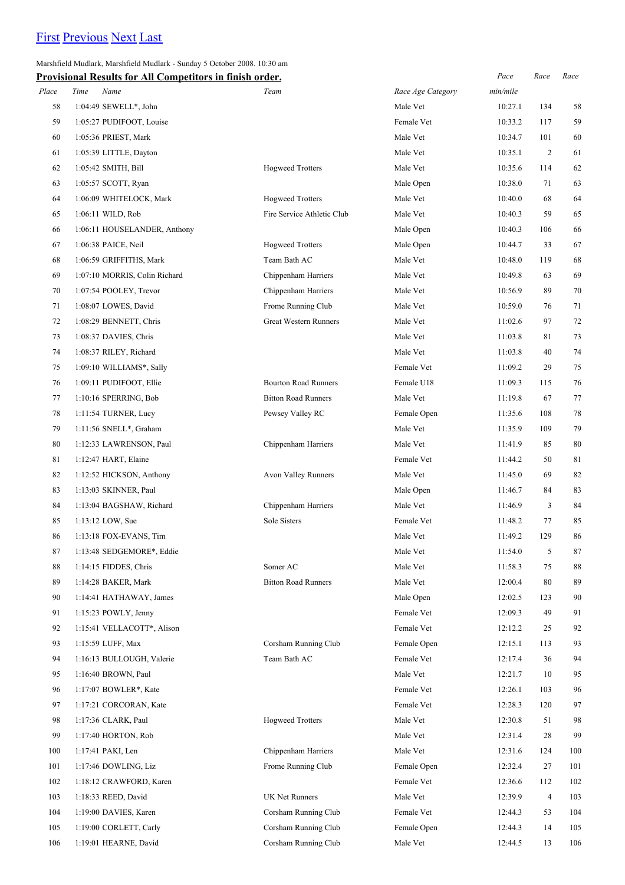# [First](http://www.corshamrunningclub.co.uk/Mudlark/Results/2008/Marshfield Mulark.html) [Previous](http://www.corshamrunningclub.co.uk/Mudlark/Results/2008/Marshfield Mulark.html) [Next](http://www.corshamrunningclub.co.uk/Mudlark/Results/2008/Marshfield MularkPage3.html) [Last](http://www.corshamrunningclub.co.uk/Mudlark/Results/2008/Marshfield MularkPage3.html)

Marshfield Mudlark, Marshfield Mudlark - Sunday 5 October 2008. 10:30 am

| <b>Provisional Results for All Competitors in finish order.</b> |  |
|-----------------------------------------------------------------|--|
|-----------------------------------------------------------------|--|

|       | Provisional Results for All Competitors in finish order. |                              |                   | Pace     | Race           | Race |
|-------|----------------------------------------------------------|------------------------------|-------------------|----------|----------------|------|
| Place | Time<br>Name                                             | Team                         | Race Age Category | min/mile |                |      |
| 58    | 1:04:49 SEWELL*, John                                    |                              | Male Vet          | 10:27.1  | 134            | 58   |
| 59    | 1:05:27 PUDIFOOT, Louise                                 |                              | Female Vet        | 10:33.2  | 117            | 59   |
| 60    | 1:05:36 PRIEST, Mark                                     |                              | Male Vet          | 10:34.7  | 101            | 60   |
| 61    | 1:05:39 LITTLE, Dayton                                   |                              | Male Vet          | 10:35.1  | $\overline{2}$ | 61   |
| 62    | 1:05:42 SMITH, Bill                                      | <b>Hogweed Trotters</b>      | Male Vet          | 10:35.6  | 114            | 62   |
| 63    | 1:05:57 SCOTT, Ryan                                      |                              | Male Open         | 10:38.0  | 71             | 63   |
| 64    | 1:06:09 WHITELOCK, Mark                                  | <b>Hogweed Trotters</b>      | Male Vet          | 10:40.0  | 68             | 64   |
| 65    | 1:06:11 WILD, Rob                                        | Fire Service Athletic Club   | Male Vet          | 10:40.3  | 59             | 65   |
| 66    | 1:06:11 HOUSELANDER, Anthony                             |                              | Male Open         | 10:40.3  | 106            | 66   |
| 67    | 1:06:38 PAICE, Neil                                      | <b>Hogweed Trotters</b>      | Male Open         | 10:44.7  | 33             | 67   |
| 68    | 1:06:59 GRIFFITHS, Mark                                  | Team Bath AC                 | Male Vet          | 10:48.0  | 119            | 68   |
| 69    | 1:07:10 MORRIS, Colin Richard                            | Chippenham Harriers          | Male Vet          | 10:49.8  | 63             | 69   |
| 70    | 1:07:54 POOLEY, Trevor                                   | Chippenham Harriers          | Male Vet          | 10:56.9  | 89             | 70   |
| 71    | 1:08:07 LOWES, David                                     | Frome Running Club           | Male Vet          | 10:59.0  | 76             | 71   |
| 72    | 1:08:29 BENNETT, Chris                                   | <b>Great Western Runners</b> | Male Vet          | 11:02.6  | 97             | 72   |
| 73    | 1:08:37 DAVIES, Chris                                    |                              | Male Vet          | 11:03.8  | 81             | 73   |
| 74    | 1:08:37 RILEY, Richard                                   |                              | Male Vet          | 11:03.8  | 40             | 74   |
| 75    | 1:09:10 WILLIAMS*, Sally                                 |                              | Female Vet        | 11:09.2  | 29             | 75   |
| 76    | 1:09:11 PUDIFOOT, Ellie                                  | <b>Bourton Road Runners</b>  | Female U18        | 11:09.3  | 115            | 76   |
| 77    | 1:10:16 SPERRING, Bob                                    | <b>Bitton Road Runners</b>   | Male Vet          | 11:19.8  | 67             | 77   |
| 78    | 1:11:54 TURNER, Lucy                                     | Pewsey Valley RC             | Female Open       | 11:35.6  | 108            | 78   |
| 79    | 1:11:56 SNELL*, Graham                                   |                              | Male Vet          | 11:35.9  | 109            | 79   |
| 80    | 1:12:33 LAWRENSON, Paul                                  | Chippenham Harriers          | Male Vet          | 11:41.9  | 85             | 80   |
| 81    | 1:12:47 HART, Elaine                                     |                              | Female Vet        | 11:44.2  | 50             | 81   |
| 82    | 1:12:52 HICKSON, Anthony                                 | Avon Valley Runners          | Male Vet          | 11:45.0  | 69             | 82   |
| 83    | 1:13:03 SKINNER, Paul                                    |                              | Male Open         | 11:46.7  | 84             | 83   |
| 84    | 1:13:04 BAGSHAW, Richard                                 | Chippenham Harriers          | Male Vet          | 11:46.9  | 3              | 84   |
| 85    | 1:13:12 LOW, Sue                                         | Sole Sisters                 | Female Vet        | 11:48.2  | 77             | 85   |
| 86    | 1:13:18 FOX-EVANS, Tim                                   |                              | Male Vet          | 11:49.2  | 129            | 86   |
| 87    | 1:13:48 SEDGEMORE*, Eddie                                |                              | Male Vet          | 11:54.0  | 5              | 87   |
| 88    | 1:14:15 FIDDES, Chris                                    | Somer AC                     | Male Vet          | 11:58.3  | 75             | 88   |
| 89    | 1:14:28 BAKER, Mark                                      | <b>Bitton Road Runners</b>   | Male Vet          | 12:00.4  | 80             | 89   |
| 90    | 1:14:41 HATHAWAY, James                                  |                              | Male Open         | 12:02.5  | 123            | 90   |
| 91    | 1:15:23 POWLY, Jenny                                     |                              | Female Vet        | 12:09.3  | 49             | 91   |
| 92    | 1:15:41 VELLACOTT*, Alison                               |                              | Female Vet        | 12:12.2  | 25             | 92   |
| 93    | 1:15:59 LUFF, Max                                        | Corsham Running Club         | Female Open       | 12:15.1  | 113            | 93   |
| 94    | 1:16:13 BULLOUGH, Valerie                                | Team Bath AC                 | Female Vet        | 12:17.4  | 36             | 94   |
| 95    | 1:16:40 BROWN, Paul                                      |                              | Male Vet          | 12:21.7  | 10             | 95   |
| 96    | 1:17:07 BOWLER*, Kate                                    |                              | Female Vet        | 12:26.1  | 103            | 96   |
| 97    | 1:17:21 CORCORAN, Kate                                   |                              | Female Vet        | 12:28.3  | 120            | 97   |
| 98    | 1:17:36 CLARK, Paul                                      | <b>Hogweed Trotters</b>      | Male Vet          | 12:30.8  | 51             | 98   |
| 99    | 1:17:40 HORTON, Rob                                      |                              | Male Vet          | 12:31.4  | 28             | 99   |
| 100   | 1:17:41 PAKI, Len                                        | Chippenham Harriers          | Male Vet          | 12:31.6  | 124            | 100  |
| 101   | 1:17:46 DOWLING, Liz                                     | Frome Running Club           | Female Open       | 12:32.4  | 27             | 101  |
| 102   | 1:18:12 CRAWFORD, Karen                                  |                              | Female Vet        | 12:36.6  | 112            | 102  |
| 103   | 1:18:33 REED, David                                      | UK Net Runners               | Male Vet          | 12:39.9  | $\overline{4}$ | 103  |
| 104   | 1:19:00 DAVIES, Karen                                    | Corsham Running Club         | Female Vet        | 12:44.3  | 53             | 104  |
| 105   | 1:19:00 CORLETT, Carly                                   | Corsham Running Club         | Female Open       | 12:44.3  | 14             | 105  |
| 106   | 1:19:01 HEARNE, David                                    | Corsham Running Club         | Male Vet          | 12:44.5  | 13             | 106  |
|       |                                                          |                              |                   |          |                |      |